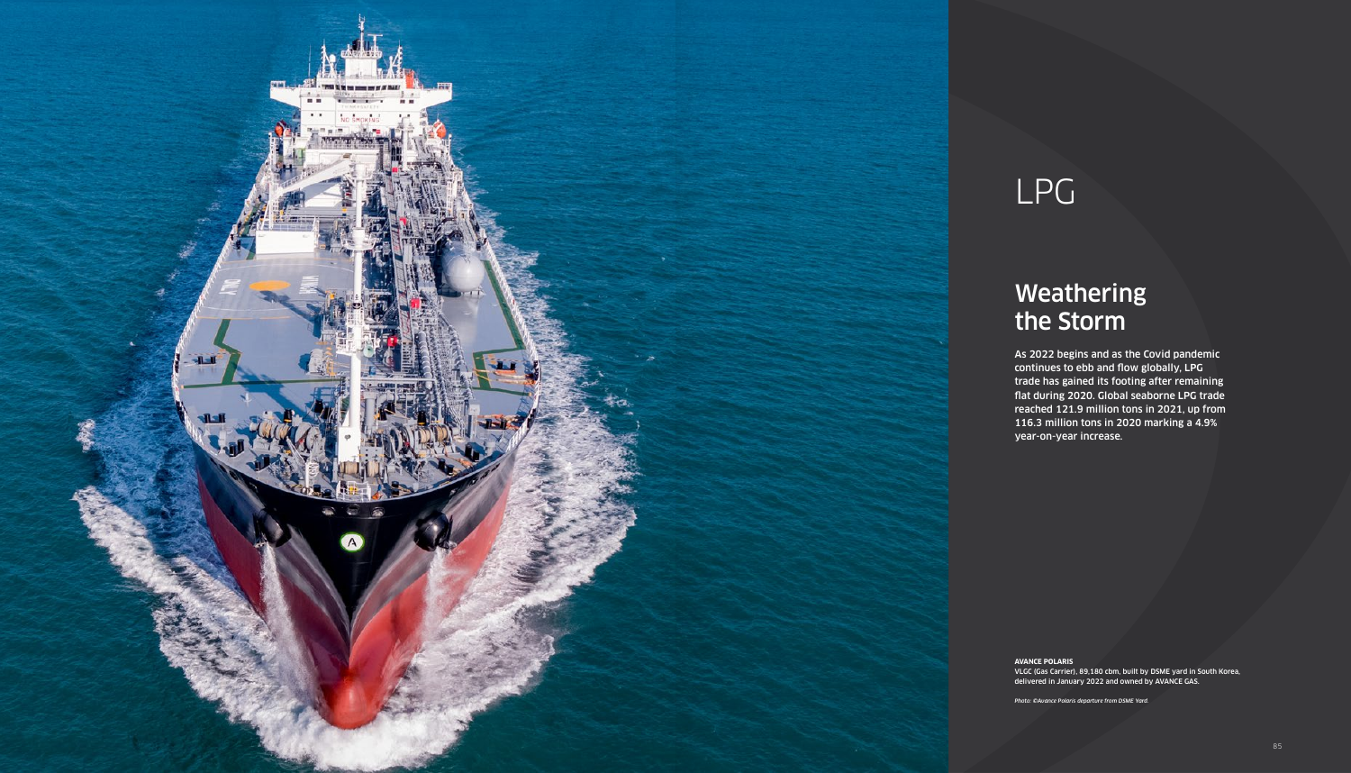### Weathering the Storm

As 2022 begins and as the Covid pandemic continues to ebb and flow globally, LPG trade has gained its footing after remaining flat during 2020. Global seaborne LPG trade reached 121.9 million tons in 2021, up from 116.3 million tons in 2020 marking a 4.9% year-on-year increase.



## LPG

**AVANCE POLARIS**

VLGC (Gas Carrier), 89,180 cbm, built by DSME yard in South Korea, delivered in January 2022 and owned by AVANCE GAS.

*Photo: ©Avance Polaris departure from DSME Yard.*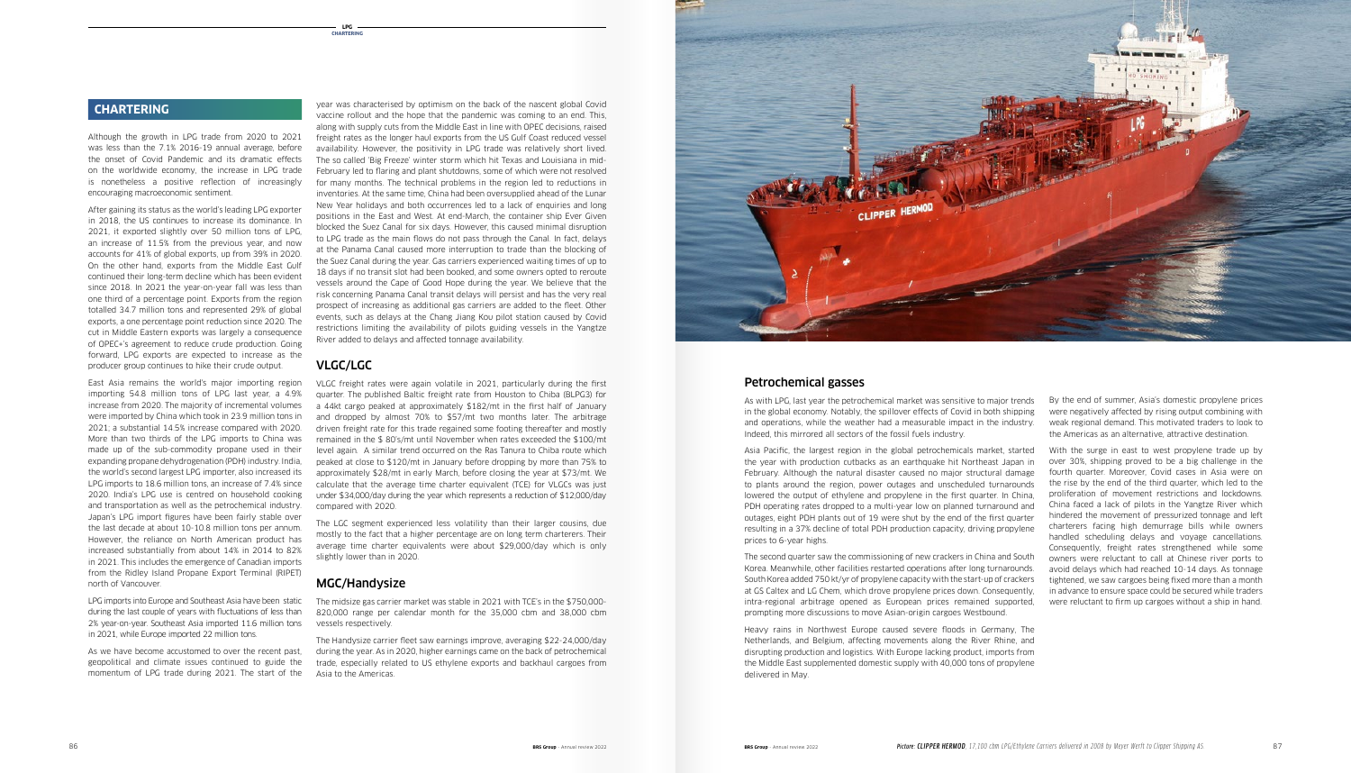year was characterised by optimism on the back of the nascent global Covid vaccine rollout and the hope that the pandemic was coming to an end. This, along with supply cuts from the Middle East in line with OPEC decisions, raised freight rates as the longer haul exports from the US Gulf Coast reduced vessel availability. However, the positivity in LPG trade was relatively short lived. The so called 'Big Freeze' winter storm which hit Texas and Louisiana in mid-February led to flaring and plant shutdowns, some of which were not resolved for many months. The technical problems in the region led to reductions in inventories. At the same time, China had been oversupplied ahead of the Lunar New Year holidays and both occurrences led to a lack of enquiries and long positions in the East and West. At end-March, the container ship Ever Given blocked the Suez Canal for six days. However, this caused minimal disruption to LPG trade as the main flows do not pass through the Canal. In fact, delays at the Panama Canal caused more interruption to trade than the blocking of the Suez Canal during the year. Gas carriers experienced waiting times of up to 18 days if no transit slot had been booked, and some owners opted to reroute vessels around the Cape of Good Hope during the year. We believe that the risk concerning Panama Canal transit delays will persist and has the very real prospect of increasing as additional gas carriers are added to the fleet. Other events, such as delays at the Chang Jiang Kou pilot station caused by Covid restrictions limiting the availability of pilots guiding vessels in the Yangtze River added to delays and affected tonnage availability.

### VLGC/LGC

VLGC freight rates were again volatile in 2021, particularly during the first quarter. The published Baltic freight rate from Houston to Chiba (BLPG3) for a 44kt cargo peaked at approximately \$182/mt in the first half of January and dropped by almost 70% to \$57/mt two months later. The arbitrage driven freight rate for this trade regained some footing thereafter and mostly remained in the \$ 80's/mt until November when rates exceeded the \$100/mt level again. A similar trend occurred on the Ras Tanura to Chiba route which peaked at close to \$120/mt in January before dropping by more than 75% to approximately \$28/mt in early March, before closing the year at \$73/mt. We calculate that the average time charter equivalent (TCE) for VLGCs was just under \$34,000/day during the year which represents a reduction of \$12,000/day compared with 2020.

The LGC segment experienced less volatility than their larger cousins, due mostly to the fact that a higher percentage are on long term charterers. Their average time charter equivalents were about \$29,000/day which is only slightly lower than in 2020.

### MGC/Handysize

momentum of LPG trade during 2021. The start of the Asia to the Americas. As we have become accustomed to over the recent past, geopolitical and climate issues continued to guide the

The midsize gas carrier market was stable in 2021 with TCE's in the \$750,000- 820,000 range per calendar month for the 35,000 cbm and 38,000 cbm vessels respectively.

The Handysize carrier fleet saw earnings improve, averaging \$22-24,000/day during the year. As in 2020, higher earnings came on the back of petrochemical trade, especially related to US ethylene exports and backhaul cargoes from



Although the growth in LPG trade from 2020 to 2021 was less than the 7.1% 2016-19 annual average, before the onset of Covid Pandemic and its dramatic effects on the worldwide economy, the increase in LPG trade is nonetheless a positive reflection of increasingly encouraging macroeconomic sentiment.

After gaining its status as the world's leading LPG exporter in 2018, the US continues to increase its dominance. In 2021, it exported slightly over 50 million tons of LPG, an increase of 11.5% from the previous year, and now accounts for 41% of global exports, up from 39% in 2020. On the other hand, exports from the Middle East Gulf continued their long-term decline which has been evident since 2018. In 2021 the year-on-year fall was less than one third of a percentage point. Exports from the region totalled 34.7 million tons and represented 29% of global exports, a one percentage point reduction since 2020. The cut in Middle Eastern exports was largely a consequence of OPEC+'s agreement to reduce crude production. Going forward, LPG exports are expected to increase as the producer group continues to hike their crude output.

East Asia remains the world's major importing region importing 54.8 million tons of LPG last year, a 4.9% increase from 2020. The majority of incremental volumes were imported by China which took in 23.9 million tons in 2021; a substantial 14.5% increase compared with 2020. More than two thirds of the LPG imports to China was made up of the sub-commodity propane used in their expanding propane dehydrogenation (PDH) industry. India, the world's second largest LPG importer, also increased its LPG imports to 18.6 million tons, an increase of 7.4% since 2020. India's LPG use is centred on household cooking and transportation as well as the petrochemical industry. Japan's LPG import figures have been fairly stable over the last decade at about 10-10.8 million tons per annum. However, the reliance on North American product has increased substantially from about 14% in 2014 to 82% in 2021. This includes the emergence of Canadian imports from the Ridley Island Propane Export Terminal (RIPET) north of Vancouver.

LPG imports into Europe and Southeast Asia have been static during the last couple of years with fluctuations of less than 2% year-on-year. Southeast Asia imported 11.6 million tons in 2021, while Europe imported 22 million tons.

### **CHARTERING**

By the end of summer, Asia's domestic propylene prices were negatively affected by rising output combining with weak regional demand. This motivated traders to look to the Americas as an alternative, attractive destination.

With the surge in east to west propylene trade up by over 30%, shipping proved to be a big challenge in the fourth quarter. Moreover, Covid cases in Asia were on the rise by the end of the third quarter, which led to the proliferation of movement restrictions and lockdowns. China faced a lack of pilots in the Yangtze River which hindered the movement of pressurized tonnage and left charterers facing high demurrage bills while owners handled scheduling delays and voyage cancellations. Consequently, freight rates strengthened while some owners were reluctant to call at Chinese river ports to avoid delays which had reached 10-14 days. As tonnage tightened, we saw cargoes being fixed more than a month in advance to ensure space could be secured while traders were reluctant to firm up cargoes without a ship in hand.

### Petrochemical gasses

As with LPG, last year the petrochemical market was sensitive to major trends in the global economy. Notably, the spillover effects of Covid in both shipping and operations, while the weather had a measurable impact in the industry. Indeed, this mirrored all sectors of the fossil fuels industry.

Asia Pacific, the largest region in the global petrochemicals market, started the year with production cutbacks as an earthquake hit Northeast Japan in February. Although the natural disaster caused no major structural damage to plants around the region, power outages and unscheduled turnarounds lowered the output of ethylene and propylene in the first quarter. In China, PDH operating rates dropped to a multi-year low on planned turnaround and outages, eight PDH plants out of 19 were shut by the end of the first quarter resulting in a 37% decline of total PDH production capacity, driving propylene prices to 6-year highs.

The second quarter saw the commissioning of new crackers in China and South Korea. Meanwhile, other facilities restarted operations after long turnarounds. South Korea added 750 kt/yr of propylene capacity with the start-up of crackers at GS Caltex and LG Chem, which drove propylene prices down. Consequently, intra-regional arbitrage opened as European prices remained supported, prompting more discussions to move Asian-origin cargoes Westbound.

Heavy rains in Northwest Europe caused severe floods in Germany, The Netherlands, and Belgium, affecting movements along the River Rhine, and disrupting production and logistics. With Europe lacking product, imports from the Middle East supplemented domestic supply with 40,000 tons of propylene delivered in May.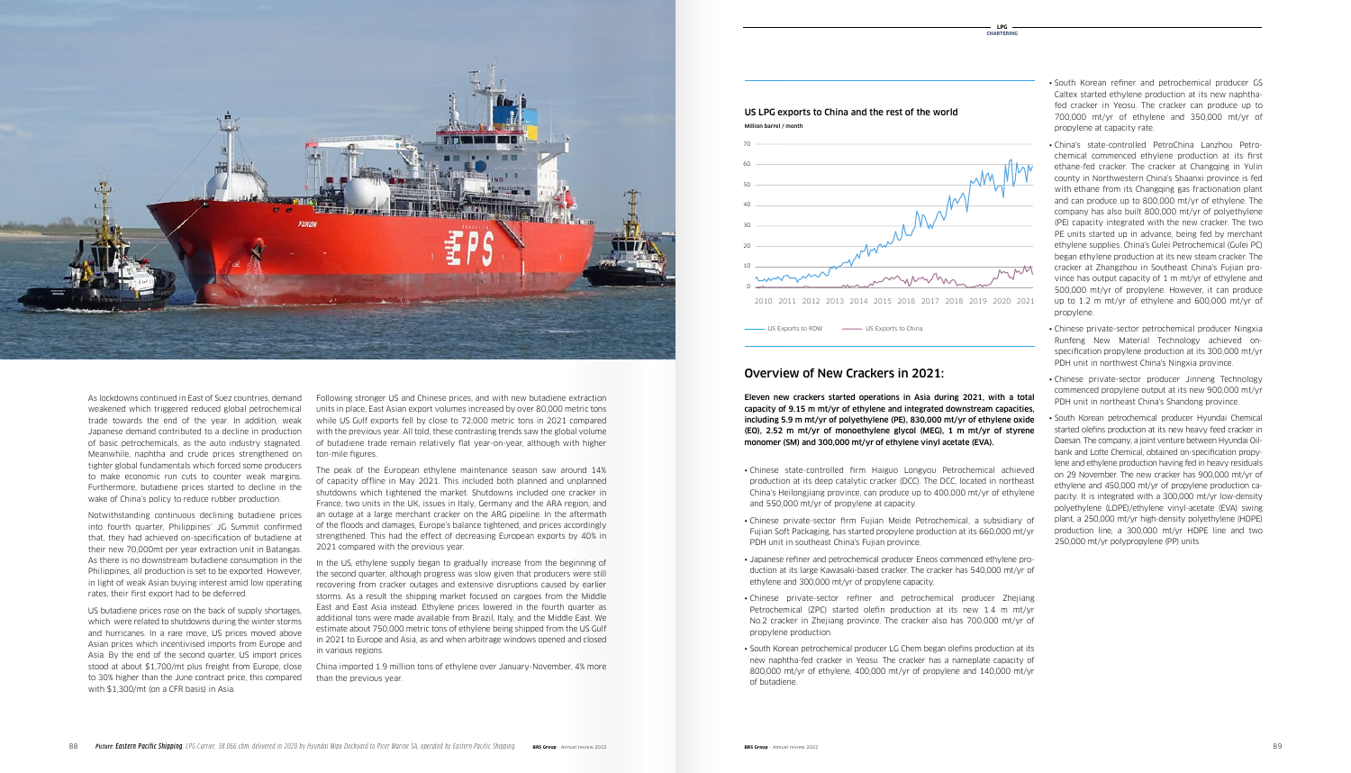Eleven new crackers started operations in Asia during 2021, with a total capacity of 9.15 m mt/yr of ethylene and integrated downstream capacities, including 5.9 m mt/yr of polyethylene (PE), 830,000 mt/yr of ethylene oxide (EO), 2.52 m mt/yr of monoethylene glycol (MEG), 1 m mt/yr of styrene monomer (SM) and 300,000 mt/yr of ethylene vinyl acetate (EVA).

- South Korean refiner and petrochemical producer GS Caltex started ethylene production at its new naphthafed cracker in Yeosu. The cracker can produce up to 700,000 mt/yr of ethylene and 350,000 mt/yr of propylene at capacity rate.
- China's state-controlled PetroChina Lanzhou Petrochemical commenced ethylene production at its first ethane-fed cracker. The cracker at Changqing in Yulin county in Northwestern China's Shaanxi province is fed with ethane from its Changqing gas fractionation plant and can produce up to 800,000 mt/yr of ethylene. The company has also built 800,000 mt/yr of polyethylene (PE) capacity integrated with the new cracker. The two PE units started up in advance, being fed by merchant ethylene supplies. China's Gulei Petrochemical (Gulei PC) began ethylene production at its new steam cracker. The cracker at Zhangzhou in Southeast China's Fujian province has output capacity of 1 m mt/yr of ethylene and 500,000 mt/yr of propylene. However, it can produce up to 1.2 m mt/yr of ethylene and 600,000 mt/yr of propylene.
- Chinese private-sector petrochemical producer Ningxia Runfeng New Material Technology achieved onspecification propylene production at its 300,000 mt/yr PDH unit in northwest China's Ningxia province.
- Chinese private-sector producer Jinneng Technology commenced propylene output at its new 900,000 mt/yr PDH unit in northeast China's Shandong province.
- South Korean petrochemical producer Hyundai Chemical started olefins production at its new heavy feed cracker in Daesan. The company, a joint venture between Hyundai Oilbank and Lotte Chemical, obtained on-specification propylene and ethylene production having fed in heavy residuals on 29 November. The new cracker has 900,000 mt/yr of ethylene and 450,000 mt/yr of propylene production capacity. It is integrated with a 300,000 mt/yr low-density polyethylene (LDPE)/ethylene vinyl-acetate (EVA) swing plant, a 250,000 mt/yr high-density polyethylene (HDPE) production line, a 300,000 mt/yr HDPE line and two 250,000 mt/yr polypropylene (PP) units.

• Chinese private-sector firm Fujian Meide Petrochemical, a subsidiary of Fujian Soft Packaging, has started propylene production at its 660,000 mt/yr

• Japanese refiner and petrochemical producer Eneos commenced ethylene production at its large Kawasaki-based cracker. The cracker has 540,000 mt/yr of

- and 550,000 mt/yr of propylene at capacity.
- PDH unit in southeast China's Fujian province.
- ethylene and 300,000 mt/yr of propylene capacity.
- propylene production.
- of butadiene.

• Chinese private-sector refiner and petrochemical producer Zhejiang Petrochemical (ZPC) started olefin production at its new 1.4 m mt/yr No.2 cracker in Zhejiang province. The cracker also has 700,000 mt/yr of

• South Korean petrochemical producer LG Chem began olefins production at its new naphtha-fed cracker in Yeosu. The cracker has a nameplate capacity of 800,000 mt/yr of ethylene, 400,000 mt/yr of propylene and 140,000 mt/yr

Following stronger US and Chinese prices, and with new butadiene extraction units in place, East Asian export volumes increased by over 80,000 metric tons while US Gulf exports fell by close to 72,000 metric tons in 2021 compared with the previous year. All told, these contrasting trends saw the global volume of butadiene trade remain relatively flat year-on-year, although with higher ton-mile figures.

The peak of the European ethylene maintenance season saw around 14% of capacity offline in May 2021. This included both planned and unplanned shutdowns which tightened the market. Shutdowns included one cracker in France, two units in the UK, issues in Italy, Germany and the ARA region, and an outage at a large merchant cracker on the ARG pipeline. In the aftermath of the floods and damages, Europe's balance tightened, and prices accordingly strengthened. This had the effect of decreasing European exports by 40% in 2021 compared with the previous year.

• Chinese state-controlled firm Haiguo Longyou Petrochemical achieved production at its deep catalytic cracker (DCC). The DCC, located in northeast China's Heilongjiang province, can produce up to 400,000 mt/yr of ethylene 100

In the US, ethylene supply began to gradually increase from the beginning of the second quarter, although progress was slow given that producers were still recovering from cracker outages and extensive disruptions caused by earlier storms. As a result the shipping market focused on cargoes from the Middle East and East Asia instead. Ethylene prices lowered in the fourth quarter as additional tons were made available from Brazil, Italy, and the Middle East. We estimate about 750,000 metric tons of ethylene being shipped from the US Gulf in 2021 to Europe and Asia, as and when arbitrage windows opened and closed in various regions.

China imported 1.9 million tons of ethylene over January-November, 4% more than the previous year.

As lockdowns continued in East of Suez countries, demand weakened which triggered reduced global petrochemical trade towards the end of the year. In addition, weak Japanese demand contributed to a decline in production of basic petrochemicals, as the auto industry stagnated. Meanwhile, naphtha and crude prices strengthened on tighter global fundamentals which forced some producers to make economic run cuts to counter weak margins. Furthermore, butadiene prices started to decline in the wake of China's policy to reduce rubber production.

Notwithstanding continuous declining butadiene prices into fourth quarter, Philippines' JG Summit confirmed that, they had achieved on-specification of butadiene at their new 70,000mt per year extraction unit in Batangas. As there is no downstream butadiene consumption in the Philippines, all production is set to be exported. However, in light of weak Asian buying interest amid low operating rates, their first export had to be deferred.

US butadiene prices rose on the back of supply shortages, which were related to shutdowns during the winter storms and hurricanes. In a rare move, US prices moved above Asian prices which incentivised imports from Europe and Asia. By the end of the second quarter, US import prices stood at about \$1,700/mt plus freight from Europe, close to 30% higher than the June contract price, this compared with \$1,300/mt (on a CFR basis) in Asia.



### Overview of New Crackers in 2021:





# Million barrel / month